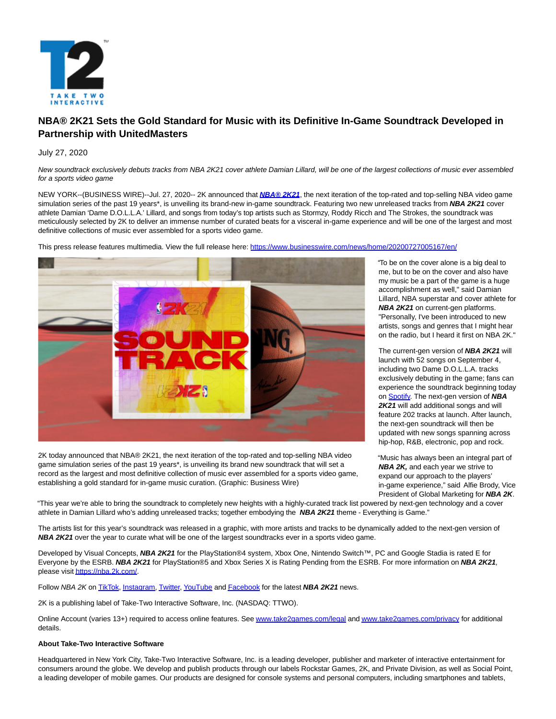

# **NBA® 2K21 Sets the Gold Standard for Music with its Definitive In-Game Soundtrack Developed in Partnership with UnitedMasters**

# July 27, 2020

New soundtrack exclusively debuts tracks from NBA 2K21 cover athlete Damian Lillard, will be one of the largest collections of music ever assembled for a sports video game

NEW YORK--(BUSINESS WIRE)--Jul. 27, 2020-- 2K announced that **[NBA® 2K21](https://cts.businesswire.com/ct/CT?id=smartlink&url=https%3A%2F%2Fwww.nba2k.com%2F&esheet=52255769&newsitemid=20200727005167&lan=en-US&anchor=NBA%26%23174%3B+2K21&index=1&md5=afd96703dec7e2aa31475ef11b1e75dd)**, the next iteration of the top-rated and top-selling NBA video game simulation series of the past 19 years\*, is unveiling its brand-new in-game soundtrack. Featuring two new unreleased tracks from **NBA 2K21** cover athlete Damian 'Dame D.O.L.L.A.' Lillard, and songs from today's top artists such as Stormzy, Roddy Ricch and The Strokes, the soundtrack was meticulously selected by 2K to deliver an immense number of curated beats for a visceral in-game experience and will be one of the largest and most definitive collections of music ever assembled for a sports video game.

This press release features multimedia. View the full release here:<https://www.businesswire.com/news/home/20200727005167/en/>



2K today announced that NBA® 2K21, the next iteration of the top-rated and top-selling NBA video game simulation series of the past 19 years\*, is unveiling its brand new soundtrack that will set a record as the largest and most definitive collection of music ever assembled for a sports video game, establishing a gold standard for in-game music curation. (Graphic: Business Wire)

"To be on the cover alone is a big deal to me, but to be on the cover and also have my music be a part of the game is a huge accomplishment as well," said Damian Lillard, NBA superstar and cover athlete for **NBA 2K21** on current-gen platforms. "Personally, I've been introduced to new artists, songs and genres that I might hear on the radio, but I heard it first on NBA 2K."

The current-gen version of **NBA 2K21** will launch with 52 songs on September 4, including two Dame D.O.L.L.A. tracks exclusively debuting in the game; fans can experience the soundtrack beginning today on [Spotify.](https://cts.businesswire.com/ct/CT?id=smartlink&url=https%3A%2F%2Fopen.spotify.com%2Fplaylist%2F0jFtCsLq1gnkUwtw3ebh2g%3Fsi%3DkuLXLCHkR3yru-YMfBOBcw&esheet=52255769&newsitemid=20200727005167&lan=en-US&anchor=Spotify&index=2&md5=97d1e767265a17858580a4e1e7e5583a) The next-gen version of **NBA 2K21** will add additional songs and will feature 202 tracks at launch. After launch, the next-gen soundtrack will then be updated with new songs spanning across hip-hop, R&B, electronic, pop and rock.

"Music has always been an integral part of **NBA 2K,** and each year we strive to expand our approach to the players' in-game experience," said Alfie Brody, Vice President of Global Marketing for **NBA 2K**.

"This year we're able to bring the soundtrack to completely new heights with a highly-curated track list powered by next-gen technology and a cover athlete in Damian Lillard who's adding unreleased tracks; together embodying the **NBA 2K21** theme - Everything is Game."

The artists list for this year's soundtrack was released in a graphic, with more artists and tracks to be dynamically added to the next-gen version of **NBA 2K21** over the year to curate what will be one of the largest soundtracks ever in a sports video game.

Developed by Visual Concepts, **NBA 2K21** for the PlayStation®4 system, Xbox One, Nintendo Switch™, PC and Google Stadia is rated E for Everyone by the ESRB. **NBA 2K21** for PlayStation®5 and Xbox Series X is Rating Pending from the ESRB. For more information on **NBA 2K21**, please visi[t https://nba.2k.com/.](https://cts.businesswire.com/ct/CT?id=smartlink&url=https%3A%2F%2Fnba.2k.com%2F&esheet=52255769&newsitemid=20200727005167&lan=en-US&anchor=https%3A%2F%2Fnba.2k.com%2F&index=3&md5=de27497472e491f282d7fbce1f17254a)

Follow NBA 2K o[n TikTok,](https://cts.businesswire.com/ct/CT?id=smartlink&url=https%3A%2F%2Fvm.tiktok.com%2FJegYRWK%2F&esheet=52255769&newsitemid=20200727005167&lan=en-US&anchor=TikTok&index=4&md5=56eb00325fda73e007f995bca6ac9f3f) [Instagram,](https://cts.businesswire.com/ct/CT?id=smartlink&url=https%3A%2F%2Fwww.instagram.com%2Fnba2k%2F&esheet=52255769&newsitemid=20200727005167&lan=en-US&anchor=Instagram&index=5&md5=edeaa4051f5592c05ff1cfce19c10501) [Twitter,](https://cts.businesswire.com/ct/CT?id=smartlink&url=https%3A%2F%2Ftwitter.com%2Fnba2k&esheet=52255769&newsitemid=20200727005167&lan=en-US&anchor=Twitter&index=6&md5=c933e567037287af70f87999e330e1a7) [YouTube a](https://cts.businesswire.com/ct/CT?id=smartlink&url=https%3A%2F%2Fwww.youtube.com%2Fchannel%2FUCYAJjqIukwm4r3GHEpJDhVw&esheet=52255769&newsitemid=20200727005167&lan=en-US&anchor=YouTube&index=7&md5=dd9920fd21e1a8b26871d177d68b3d35)n[d Facebook f](https://cts.businesswire.com/ct/CT?id=smartlink&url=https%3A%2F%2Fwww.facebook.com%2FNBA2K%2F&esheet=52255769&newsitemid=20200727005167&lan=en-US&anchor=Facebook&index=8&md5=4b880e2acc5c2a925bf313fbd1f1637b)or the latest **NBA 2K21** news.

2K is a publishing label of Take-Two Interactive Software, Inc. (NASDAQ: TTWO).

Online Account (varies 13+) required to access online features. See [www.take2games.com/legal a](https://cts.businesswire.com/ct/CT?id=smartlink&url=http%3A%2F%2Fwww.take2games.com%2Flegal&esheet=52255769&newsitemid=20200727005167&lan=en-US&anchor=www.take2games.com%2Flegal&index=9&md5=89412ba453821e6896499eee62d4945a)n[d www.take2games.com/privacy f](https://cts.businesswire.com/ct/CT?id=smartlink&url=http%3A%2F%2Fwww.take2games.com%2Fprivacy&esheet=52255769&newsitemid=20200727005167&lan=en-US&anchor=www.take2games.com%2Fprivacy&index=10&md5=5ee6f34c39f0fab5e3ab1528e4d3dd96)or additional details.

# **About Take-Two Interactive Software**

Headquartered in New York City, Take-Two Interactive Software, Inc. is a leading developer, publisher and marketer of interactive entertainment for consumers around the globe. We develop and publish products through our labels Rockstar Games, 2K, and Private Division, as well as Social Point, a leading developer of mobile games. Our products are designed for console systems and personal computers, including smartphones and tablets,